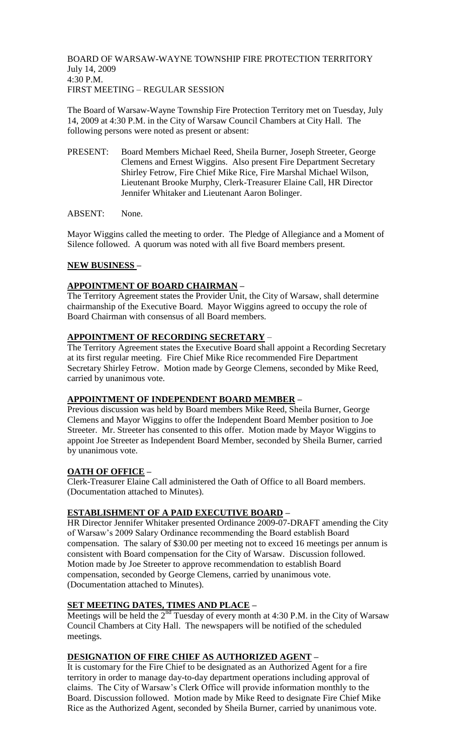BOARD OF WARSAW-WAYNE TOWNSHIP FIRE PROTECTION TERRITORY July 14, 2009 4:30 P.M. FIRST MEETING – REGULAR SESSION

The Board of Warsaw-Wayne Township Fire Protection Territory met on Tuesday, July 14, 2009 at 4:30 P.M. in the City of Warsaw Council Chambers at City Hall. The following persons were noted as present or absent:

- PRESENT: Board Members Michael Reed, Sheila Burner, Joseph Streeter, George Clemens and Ernest Wiggins. Also present Fire Department Secretary Shirley Fetrow, Fire Chief Mike Rice, Fire Marshal Michael Wilson, Lieutenant Brooke Murphy, Clerk-Treasurer Elaine Call, HR Director Jennifer Whitaker and Lieutenant Aaron Bolinger.
- ABSENT: None.

Mayor Wiggins called the meeting to order. The Pledge of Allegiance and a Moment of Silence followed. A quorum was noted with all five Board members present.

### **NEW BUSINESS –**

### **APPOINTMENT OF BOARD CHAIRMAN –**

The Territory Agreement states the Provider Unit, the City of Warsaw, shall determine chairmanship of the Executive Board. Mayor Wiggins agreed to occupy the role of Board Chairman with consensus of all Board members.

# **APPOINTMENT OF RECORDING SECRETARY** –

The Territory Agreement states the Executive Board shall appoint a Recording Secretary at its first regular meeting. Fire Chief Mike Rice recommended Fire Department Secretary Shirley Fetrow. Motion made by George Clemens, seconded by Mike Reed, carried by unanimous vote.

#### **APPOINTMENT OF INDEPENDENT BOARD MEMBER –**

Previous discussion was held by Board members Mike Reed, Sheila Burner, George Clemens and Mayor Wiggins to offer the Independent Board Member position to Joe Streeter. Mr. Streeter has consented to this offer. Motion made by Mayor Wiggins to appoint Joe Streeter as Independent Board Member, seconded by Sheila Burner, carried by unanimous vote.

## **OATH OF OFFICE –**

Clerk-Treasurer Elaine Call administered the Oath of Office to all Board members. (Documentation attached to Minutes).

## **ESTABLISHMENT OF A PAID EXECUTIVE BOARD –**

HR Director Jennifer Whitaker presented Ordinance 2009-07-DRAFT amending the City of Warsaw's 2009 Salary Ordinance recommending the Board establish Board compensation. The salary of \$30.00 per meeting not to exceed 16 meetings per annum is consistent with Board compensation for the City of Warsaw. Discussion followed. Motion made by Joe Streeter to approve recommendation to establish Board compensation, seconded by George Clemens, carried by unanimous vote. (Documentation attached to Minutes).

# **SET MEETING DATES, TIMES AND PLACE –**

Meetings will be held the  $2<sup>nd</sup>$  Tuesday of every month at 4:30 P.M. in the City of Warsaw Council Chambers at City Hall. The newspapers will be notified of the scheduled meetings.

#### **DESIGNATION OF FIRE CHIEF AS AUTHORIZED AGENT –**

It is customary for the Fire Chief to be designated as an Authorized Agent for a fire territory in order to manage day-to-day department operations including approval of claims. The City of Warsaw's Clerk Office will provide information monthly to the Board. Discussion followed. Motion made by Mike Reed to designate Fire Chief Mike Rice as the Authorized Agent, seconded by Sheila Burner, carried by unanimous vote.